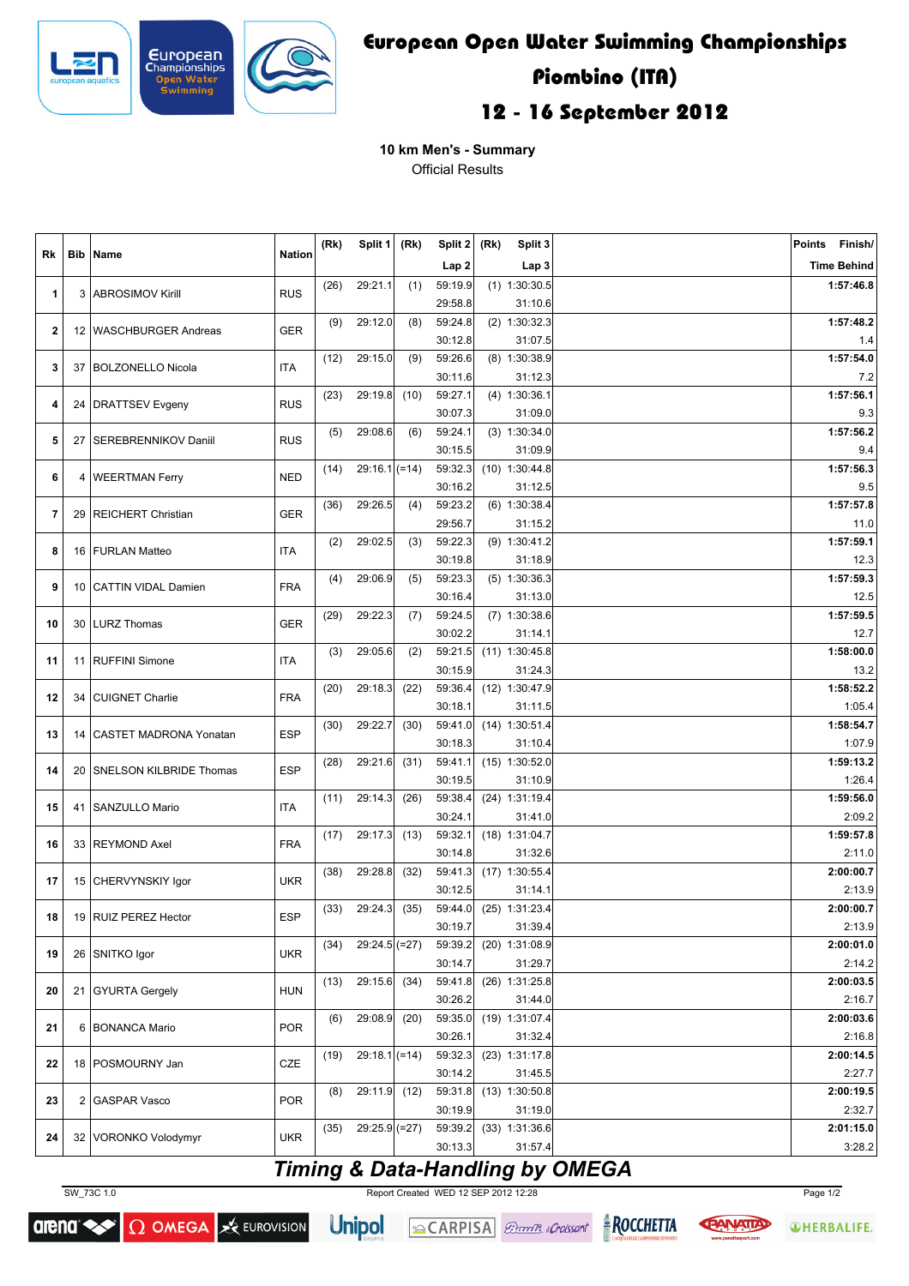

## **European Open Water Swimming Championships Piombino (ITA) 12 - 16 September 2012**

**10 km Men's - Summary** Official Results

| <b>Bib</b><br><b>Nation</b><br>Rk<br>Name<br>Lap <sub>2</sub><br>Lap <sub>3</sub><br>$(1)$ 1:30:30.5<br>29:21.1<br>59:19.9<br>(26)<br>(1)<br><b>RUS</b><br>3   ABROSIMOV Kirill<br>1<br>31:10.6<br>29:58.8<br>29:12.0<br>59:24.8<br>$(2)$ 1:30:32.3<br>(9)<br>(8)<br>12   WASCHBURGER Andreas<br><b>GER</b><br>2<br>31:07.5<br>30:12.8<br>29:15.0<br>59:26.6<br>$(8)$ 1:30:38.9<br>(12)<br>(9)<br>ITA<br>37   BOLZONELLO Nicola<br>3<br>30:11.6<br>31:12.3<br>29:19.8<br>(10)<br>59:27.1<br>$(4)$ 1:30:36.1<br>(23)<br><b>RUS</b><br>24   DRATTSEV Evgeny<br>4<br>30:07.3<br>31:09.0<br>$(3)$ 1:30:34.0<br>29:08.6<br>59:24.1<br>(5)<br>(6)<br><b>RUS</b><br>27   SEREBRENNIKOV Daniil<br>5<br>31:09.9<br>30:15.5<br>$29:16.1$ (=14)<br>59:32.3<br>$(10)$ 1:30:44.8<br>(14)<br><b>NED</b><br>6<br>4   WEERTMAN Ferry<br>30:16.2<br>31:12.5<br>$(6)$ 1:30:38.4<br>29:26.5<br>59:23.2<br>(36)<br>(4)<br>29   REICHERT Christian<br><b>GER</b><br>7<br>29:56.7<br>31:15.2<br>$(9)$ 1:30:41.2<br>29:02.5<br>59:22.3<br>(2)<br>(3)<br>16 FURLAN Matteo<br><b>ITA</b><br>8<br>31:18.9<br>30:19.8<br>$(5)$ 1:30:36.3<br>29:06.9<br>59:23.3<br>(4)<br>(5)<br><b>FRA</b><br>9<br>10   CATTIN VIDAL Damien<br>31:13.0<br>30:16.4<br>$(7)$ 1:30:38.6<br>(29)<br>29:22.3<br>59:24.5<br>(7)<br>30   LURZ Thomas<br><b>GER</b><br>10<br>30:02.2<br>31:14.1<br>$(11)$ 1:30:45.8<br>29:05.6<br>(2)<br>59:21.5<br>(3)<br>11   RUFFINI Simone<br><b>ITA</b><br>11<br>30:15.9<br>31:24.3<br>$(12)$ 1:30:47.9<br>(20)<br>29:18.3<br>(22)<br>59:36.4<br><b>CUIGNET Charlie</b><br><b>FRA</b><br>12<br>34 l<br>30:18.1<br>31:11.5<br>(30)<br>29:22.7<br>(30)<br>59:41.0<br>$(14)$ 1:30:51.4<br><b>ESP</b><br>14   CASTET MADRONA Yonatan<br>13<br>30:18.3<br>31:10.4<br>$(15)$ 1:30:52.0<br>(28)<br>29:21.6<br>(31)<br>59:41.1<br><b>ESP</b><br>20   SNELSON KILBRIDE Thomas<br>14<br>30:19.5<br>31:10.9<br>(24) 1:31:19.4<br>29:14.3<br>(26)<br>59:38.4<br>(11)<br><b>ITA</b><br>SANZULLO Mario<br>15<br>41<br>30:24.1<br>31:41.0<br>$(18)$ 1:31:04.7<br>(17)<br>29:17.3<br>(13)<br>59:32.1<br><b>FRA</b><br>33 REYMOND Axel<br>16<br>31:32.6<br>30:14.8<br>(38)<br>29:28.8<br>(32)<br>59:41.3<br>$(17)$ 1:30:55.4<br><b>UKR</b><br>15   CHERVYNSKIY Igor<br>17<br>30:12.5<br>31:14.1<br>(33)<br>29:24.3<br>(35)<br>59:44.0<br>$(25)$ 1:31:23.4<br><b>ESP</b><br>19 RUIZ PEREZ Hector<br>18<br>30:19.7<br>31:39.4 | <b>Time Behind</b><br>1:57:46.8<br>1:57:48.2<br>1.4<br>1:57:54.0<br>7.2<br>1:57:56.1<br>9.3<br>1:57:56.2<br>9.4 |
|----------------------------------------------------------------------------------------------------------------------------------------------------------------------------------------------------------------------------------------------------------------------------------------------------------------------------------------------------------------------------------------------------------------------------------------------------------------------------------------------------------------------------------------------------------------------------------------------------------------------------------------------------------------------------------------------------------------------------------------------------------------------------------------------------------------------------------------------------------------------------------------------------------------------------------------------------------------------------------------------------------------------------------------------------------------------------------------------------------------------------------------------------------------------------------------------------------------------------------------------------------------------------------------------------------------------------------------------------------------------------------------------------------------------------------------------------------------------------------------------------------------------------------------------------------------------------------------------------------------------------------------------------------------------------------------------------------------------------------------------------------------------------------------------------------------------------------------------------------------------------------------------------------------------------------------------------------------------------------------------------------------------------------------------------------------------------------------------------------------------------------------------------------------------------------------------------------------------------------------------------------------------------------------------------------------------------------------------------------------------------------------------|-----------------------------------------------------------------------------------------------------------------|
|                                                                                                                                                                                                                                                                                                                                                                                                                                                                                                                                                                                                                                                                                                                                                                                                                                                                                                                                                                                                                                                                                                                                                                                                                                                                                                                                                                                                                                                                                                                                                                                                                                                                                                                                                                                                                                                                                                                                                                                                                                                                                                                                                                                                                                                                                                                                                                                              |                                                                                                                 |
|                                                                                                                                                                                                                                                                                                                                                                                                                                                                                                                                                                                                                                                                                                                                                                                                                                                                                                                                                                                                                                                                                                                                                                                                                                                                                                                                                                                                                                                                                                                                                                                                                                                                                                                                                                                                                                                                                                                                                                                                                                                                                                                                                                                                                                                                                                                                                                                              |                                                                                                                 |
|                                                                                                                                                                                                                                                                                                                                                                                                                                                                                                                                                                                                                                                                                                                                                                                                                                                                                                                                                                                                                                                                                                                                                                                                                                                                                                                                                                                                                                                                                                                                                                                                                                                                                                                                                                                                                                                                                                                                                                                                                                                                                                                                                                                                                                                                                                                                                                                              |                                                                                                                 |
|                                                                                                                                                                                                                                                                                                                                                                                                                                                                                                                                                                                                                                                                                                                                                                                                                                                                                                                                                                                                                                                                                                                                                                                                                                                                                                                                                                                                                                                                                                                                                                                                                                                                                                                                                                                                                                                                                                                                                                                                                                                                                                                                                                                                                                                                                                                                                                                              |                                                                                                                 |
|                                                                                                                                                                                                                                                                                                                                                                                                                                                                                                                                                                                                                                                                                                                                                                                                                                                                                                                                                                                                                                                                                                                                                                                                                                                                                                                                                                                                                                                                                                                                                                                                                                                                                                                                                                                                                                                                                                                                                                                                                                                                                                                                                                                                                                                                                                                                                                                              |                                                                                                                 |
|                                                                                                                                                                                                                                                                                                                                                                                                                                                                                                                                                                                                                                                                                                                                                                                                                                                                                                                                                                                                                                                                                                                                                                                                                                                                                                                                                                                                                                                                                                                                                                                                                                                                                                                                                                                                                                                                                                                                                                                                                                                                                                                                                                                                                                                                                                                                                                                              |                                                                                                                 |
|                                                                                                                                                                                                                                                                                                                                                                                                                                                                                                                                                                                                                                                                                                                                                                                                                                                                                                                                                                                                                                                                                                                                                                                                                                                                                                                                                                                                                                                                                                                                                                                                                                                                                                                                                                                                                                                                                                                                                                                                                                                                                                                                                                                                                                                                                                                                                                                              |                                                                                                                 |
|                                                                                                                                                                                                                                                                                                                                                                                                                                                                                                                                                                                                                                                                                                                                                                                                                                                                                                                                                                                                                                                                                                                                                                                                                                                                                                                                                                                                                                                                                                                                                                                                                                                                                                                                                                                                                                                                                                                                                                                                                                                                                                                                                                                                                                                                                                                                                                                              |                                                                                                                 |
|                                                                                                                                                                                                                                                                                                                                                                                                                                                                                                                                                                                                                                                                                                                                                                                                                                                                                                                                                                                                                                                                                                                                                                                                                                                                                                                                                                                                                                                                                                                                                                                                                                                                                                                                                                                                                                                                                                                                                                                                                                                                                                                                                                                                                                                                                                                                                                                              |                                                                                                                 |
|                                                                                                                                                                                                                                                                                                                                                                                                                                                                                                                                                                                                                                                                                                                                                                                                                                                                                                                                                                                                                                                                                                                                                                                                                                                                                                                                                                                                                                                                                                                                                                                                                                                                                                                                                                                                                                                                                                                                                                                                                                                                                                                                                                                                                                                                                                                                                                                              |                                                                                                                 |
|                                                                                                                                                                                                                                                                                                                                                                                                                                                                                                                                                                                                                                                                                                                                                                                                                                                                                                                                                                                                                                                                                                                                                                                                                                                                                                                                                                                                                                                                                                                                                                                                                                                                                                                                                                                                                                                                                                                                                                                                                                                                                                                                                                                                                                                                                                                                                                                              | 1:57:56.3                                                                                                       |
|                                                                                                                                                                                                                                                                                                                                                                                                                                                                                                                                                                                                                                                                                                                                                                                                                                                                                                                                                                                                                                                                                                                                                                                                                                                                                                                                                                                                                                                                                                                                                                                                                                                                                                                                                                                                                                                                                                                                                                                                                                                                                                                                                                                                                                                                                                                                                                                              | 9.5                                                                                                             |
|                                                                                                                                                                                                                                                                                                                                                                                                                                                                                                                                                                                                                                                                                                                                                                                                                                                                                                                                                                                                                                                                                                                                                                                                                                                                                                                                                                                                                                                                                                                                                                                                                                                                                                                                                                                                                                                                                                                                                                                                                                                                                                                                                                                                                                                                                                                                                                                              | 1:57:57.8                                                                                                       |
|                                                                                                                                                                                                                                                                                                                                                                                                                                                                                                                                                                                                                                                                                                                                                                                                                                                                                                                                                                                                                                                                                                                                                                                                                                                                                                                                                                                                                                                                                                                                                                                                                                                                                                                                                                                                                                                                                                                                                                                                                                                                                                                                                                                                                                                                                                                                                                                              | 11.0                                                                                                            |
|                                                                                                                                                                                                                                                                                                                                                                                                                                                                                                                                                                                                                                                                                                                                                                                                                                                                                                                                                                                                                                                                                                                                                                                                                                                                                                                                                                                                                                                                                                                                                                                                                                                                                                                                                                                                                                                                                                                                                                                                                                                                                                                                                                                                                                                                                                                                                                                              | 1:57:59.1                                                                                                       |
|                                                                                                                                                                                                                                                                                                                                                                                                                                                                                                                                                                                                                                                                                                                                                                                                                                                                                                                                                                                                                                                                                                                                                                                                                                                                                                                                                                                                                                                                                                                                                                                                                                                                                                                                                                                                                                                                                                                                                                                                                                                                                                                                                                                                                                                                                                                                                                                              | 12.3                                                                                                            |
|                                                                                                                                                                                                                                                                                                                                                                                                                                                                                                                                                                                                                                                                                                                                                                                                                                                                                                                                                                                                                                                                                                                                                                                                                                                                                                                                                                                                                                                                                                                                                                                                                                                                                                                                                                                                                                                                                                                                                                                                                                                                                                                                                                                                                                                                                                                                                                                              | 1:57:59.3                                                                                                       |
|                                                                                                                                                                                                                                                                                                                                                                                                                                                                                                                                                                                                                                                                                                                                                                                                                                                                                                                                                                                                                                                                                                                                                                                                                                                                                                                                                                                                                                                                                                                                                                                                                                                                                                                                                                                                                                                                                                                                                                                                                                                                                                                                                                                                                                                                                                                                                                                              | 12.5                                                                                                            |
|                                                                                                                                                                                                                                                                                                                                                                                                                                                                                                                                                                                                                                                                                                                                                                                                                                                                                                                                                                                                                                                                                                                                                                                                                                                                                                                                                                                                                                                                                                                                                                                                                                                                                                                                                                                                                                                                                                                                                                                                                                                                                                                                                                                                                                                                                                                                                                                              | 1:57:59.5                                                                                                       |
|                                                                                                                                                                                                                                                                                                                                                                                                                                                                                                                                                                                                                                                                                                                                                                                                                                                                                                                                                                                                                                                                                                                                                                                                                                                                                                                                                                                                                                                                                                                                                                                                                                                                                                                                                                                                                                                                                                                                                                                                                                                                                                                                                                                                                                                                                                                                                                                              | 12.7                                                                                                            |
|                                                                                                                                                                                                                                                                                                                                                                                                                                                                                                                                                                                                                                                                                                                                                                                                                                                                                                                                                                                                                                                                                                                                                                                                                                                                                                                                                                                                                                                                                                                                                                                                                                                                                                                                                                                                                                                                                                                                                                                                                                                                                                                                                                                                                                                                                                                                                                                              | 1:58:00.0                                                                                                       |
|                                                                                                                                                                                                                                                                                                                                                                                                                                                                                                                                                                                                                                                                                                                                                                                                                                                                                                                                                                                                                                                                                                                                                                                                                                                                                                                                                                                                                                                                                                                                                                                                                                                                                                                                                                                                                                                                                                                                                                                                                                                                                                                                                                                                                                                                                                                                                                                              | 13.2                                                                                                            |
|                                                                                                                                                                                                                                                                                                                                                                                                                                                                                                                                                                                                                                                                                                                                                                                                                                                                                                                                                                                                                                                                                                                                                                                                                                                                                                                                                                                                                                                                                                                                                                                                                                                                                                                                                                                                                                                                                                                                                                                                                                                                                                                                                                                                                                                                                                                                                                                              | 1:58:52.2                                                                                                       |
|                                                                                                                                                                                                                                                                                                                                                                                                                                                                                                                                                                                                                                                                                                                                                                                                                                                                                                                                                                                                                                                                                                                                                                                                                                                                                                                                                                                                                                                                                                                                                                                                                                                                                                                                                                                                                                                                                                                                                                                                                                                                                                                                                                                                                                                                                                                                                                                              | 1:05.4                                                                                                          |
|                                                                                                                                                                                                                                                                                                                                                                                                                                                                                                                                                                                                                                                                                                                                                                                                                                                                                                                                                                                                                                                                                                                                                                                                                                                                                                                                                                                                                                                                                                                                                                                                                                                                                                                                                                                                                                                                                                                                                                                                                                                                                                                                                                                                                                                                                                                                                                                              | 1:58:54.7                                                                                                       |
|                                                                                                                                                                                                                                                                                                                                                                                                                                                                                                                                                                                                                                                                                                                                                                                                                                                                                                                                                                                                                                                                                                                                                                                                                                                                                                                                                                                                                                                                                                                                                                                                                                                                                                                                                                                                                                                                                                                                                                                                                                                                                                                                                                                                                                                                                                                                                                                              | 1:07.9<br>1:59:13.2                                                                                             |
|                                                                                                                                                                                                                                                                                                                                                                                                                                                                                                                                                                                                                                                                                                                                                                                                                                                                                                                                                                                                                                                                                                                                                                                                                                                                                                                                                                                                                                                                                                                                                                                                                                                                                                                                                                                                                                                                                                                                                                                                                                                                                                                                                                                                                                                                                                                                                                                              | 1:26.4                                                                                                          |
|                                                                                                                                                                                                                                                                                                                                                                                                                                                                                                                                                                                                                                                                                                                                                                                                                                                                                                                                                                                                                                                                                                                                                                                                                                                                                                                                                                                                                                                                                                                                                                                                                                                                                                                                                                                                                                                                                                                                                                                                                                                                                                                                                                                                                                                                                                                                                                                              | 1:59:56.0                                                                                                       |
|                                                                                                                                                                                                                                                                                                                                                                                                                                                                                                                                                                                                                                                                                                                                                                                                                                                                                                                                                                                                                                                                                                                                                                                                                                                                                                                                                                                                                                                                                                                                                                                                                                                                                                                                                                                                                                                                                                                                                                                                                                                                                                                                                                                                                                                                                                                                                                                              | 2:09.2                                                                                                          |
|                                                                                                                                                                                                                                                                                                                                                                                                                                                                                                                                                                                                                                                                                                                                                                                                                                                                                                                                                                                                                                                                                                                                                                                                                                                                                                                                                                                                                                                                                                                                                                                                                                                                                                                                                                                                                                                                                                                                                                                                                                                                                                                                                                                                                                                                                                                                                                                              | 1:59:57.8                                                                                                       |
|                                                                                                                                                                                                                                                                                                                                                                                                                                                                                                                                                                                                                                                                                                                                                                                                                                                                                                                                                                                                                                                                                                                                                                                                                                                                                                                                                                                                                                                                                                                                                                                                                                                                                                                                                                                                                                                                                                                                                                                                                                                                                                                                                                                                                                                                                                                                                                                              | 2:11.0                                                                                                          |
|                                                                                                                                                                                                                                                                                                                                                                                                                                                                                                                                                                                                                                                                                                                                                                                                                                                                                                                                                                                                                                                                                                                                                                                                                                                                                                                                                                                                                                                                                                                                                                                                                                                                                                                                                                                                                                                                                                                                                                                                                                                                                                                                                                                                                                                                                                                                                                                              | 2:00:00.7                                                                                                       |
|                                                                                                                                                                                                                                                                                                                                                                                                                                                                                                                                                                                                                                                                                                                                                                                                                                                                                                                                                                                                                                                                                                                                                                                                                                                                                                                                                                                                                                                                                                                                                                                                                                                                                                                                                                                                                                                                                                                                                                                                                                                                                                                                                                                                                                                                                                                                                                                              | 2:13.9                                                                                                          |
|                                                                                                                                                                                                                                                                                                                                                                                                                                                                                                                                                                                                                                                                                                                                                                                                                                                                                                                                                                                                                                                                                                                                                                                                                                                                                                                                                                                                                                                                                                                                                                                                                                                                                                                                                                                                                                                                                                                                                                                                                                                                                                                                                                                                                                                                                                                                                                                              | 2:00:00.7                                                                                                       |
|                                                                                                                                                                                                                                                                                                                                                                                                                                                                                                                                                                                                                                                                                                                                                                                                                                                                                                                                                                                                                                                                                                                                                                                                                                                                                                                                                                                                                                                                                                                                                                                                                                                                                                                                                                                                                                                                                                                                                                                                                                                                                                                                                                                                                                                                                                                                                                                              | 2:13.9                                                                                                          |
| 59:39.2<br>(20) 1:31:08.9<br>(34)<br>$29:24.5$ (=27)<br><b>UKR</b><br>26 SNITKO Igor<br>19                                                                                                                                                                                                                                                                                                                                                                                                                                                                                                                                                                                                                                                                                                                                                                                                                                                                                                                                                                                                                                                                                                                                                                                                                                                                                                                                                                                                                                                                                                                                                                                                                                                                                                                                                                                                                                                                                                                                                                                                                                                                                                                                                                                                                                                                                                   | 2:00:01.0                                                                                                       |
| 30:14.7<br>31:29.7                                                                                                                                                                                                                                                                                                                                                                                                                                                                                                                                                                                                                                                                                                                                                                                                                                                                                                                                                                                                                                                                                                                                                                                                                                                                                                                                                                                                                                                                                                                                                                                                                                                                                                                                                                                                                                                                                                                                                                                                                                                                                                                                                                                                                                                                                                                                                                           | 2:14.2                                                                                                          |
| $(26)$ 1:31:25.8<br>29:15.6<br>(34)<br>59:41.8<br>(13)<br><b>HUN</b><br>21 GYURTA Gergely<br>20                                                                                                                                                                                                                                                                                                                                                                                                                                                                                                                                                                                                                                                                                                                                                                                                                                                                                                                                                                                                                                                                                                                                                                                                                                                                                                                                                                                                                                                                                                                                                                                                                                                                                                                                                                                                                                                                                                                                                                                                                                                                                                                                                                                                                                                                                              | 2:00:03.5                                                                                                       |
| 30:26.2<br>31:44.0                                                                                                                                                                                                                                                                                                                                                                                                                                                                                                                                                                                                                                                                                                                                                                                                                                                                                                                                                                                                                                                                                                                                                                                                                                                                                                                                                                                                                                                                                                                                                                                                                                                                                                                                                                                                                                                                                                                                                                                                                                                                                                                                                                                                                                                                                                                                                                           | 2:16.7                                                                                                          |
| 59:35.0<br>$(19)$ 1:31:07.4<br>29:08.9<br>(20)<br>(6)<br><b>POR</b><br>21<br>6 BONANCA Mario<br>30:26.1<br>31:32.4                                                                                                                                                                                                                                                                                                                                                                                                                                                                                                                                                                                                                                                                                                                                                                                                                                                                                                                                                                                                                                                                                                                                                                                                                                                                                                                                                                                                                                                                                                                                                                                                                                                                                                                                                                                                                                                                                                                                                                                                                                                                                                                                                                                                                                                                           | 2:00:03.6<br>2:16.8                                                                                             |
| 59:32.3<br>$(23)$ 1:31:17.8<br>$29:18.1$ (=14)<br>(19)                                                                                                                                                                                                                                                                                                                                                                                                                                                                                                                                                                                                                                                                                                                                                                                                                                                                                                                                                                                                                                                                                                                                                                                                                                                                                                                                                                                                                                                                                                                                                                                                                                                                                                                                                                                                                                                                                                                                                                                                                                                                                                                                                                                                                                                                                                                                       | 2:00:14.5                                                                                                       |
| CZE<br>18   POSMOURNY Jan<br>22<br>30:14.2<br>31:45.5                                                                                                                                                                                                                                                                                                                                                                                                                                                                                                                                                                                                                                                                                                                                                                                                                                                                                                                                                                                                                                                                                                                                                                                                                                                                                                                                                                                                                                                                                                                                                                                                                                                                                                                                                                                                                                                                                                                                                                                                                                                                                                                                                                                                                                                                                                                                        | 2:27.7                                                                                                          |
| $29:11.9$ (12)<br>59:31.8<br>$(13)$ 1:30:50.8<br>(8)                                                                                                                                                                                                                                                                                                                                                                                                                                                                                                                                                                                                                                                                                                                                                                                                                                                                                                                                                                                                                                                                                                                                                                                                                                                                                                                                                                                                                                                                                                                                                                                                                                                                                                                                                                                                                                                                                                                                                                                                                                                                                                                                                                                                                                                                                                                                         | 2:00:19.5                                                                                                       |
| <b>POR</b><br><b>GASPAR Vasco</b><br>23<br>2 <sub>1</sub><br>30:19.9<br>31:19.0                                                                                                                                                                                                                                                                                                                                                                                                                                                                                                                                                                                                                                                                                                                                                                                                                                                                                                                                                                                                                                                                                                                                                                                                                                                                                                                                                                                                                                                                                                                                                                                                                                                                                                                                                                                                                                                                                                                                                                                                                                                                                                                                                                                                                                                                                                              | 2:32.7                                                                                                          |
| $(33)$ 1:31:36.6<br>$29:25.9$ (=27)<br>59:39.2<br>(35)                                                                                                                                                                                                                                                                                                                                                                                                                                                                                                                                                                                                                                                                                                                                                                                                                                                                                                                                                                                                                                                                                                                                                                                                                                                                                                                                                                                                                                                                                                                                                                                                                                                                                                                                                                                                                                                                                                                                                                                                                                                                                                                                                                                                                                                                                                                                       | 2:01:15.0                                                                                                       |
| <b>UKR</b><br>32   VORONKO Volodymyr<br>24<br>30:13.3<br>31:57.4                                                                                                                                                                                                                                                                                                                                                                                                                                                                                                                                                                                                                                                                                                                                                                                                                                                                                                                                                                                                                                                                                                                                                                                                                                                                                                                                                                                                                                                                                                                                                                                                                                                                                                                                                                                                                                                                                                                                                                                                                                                                                                                                                                                                                                                                                                                             | 3:28.2                                                                                                          |

## **Timing & Data-Handling by OMEGA**

arena<sup>\*</sup>

 $\Omega$  OMEGA  $\approx$  EUROVISION

SW\_73C 1.0 Report Created WED 12 SEP 2012 12:28 Page 1/2

**Unipol**